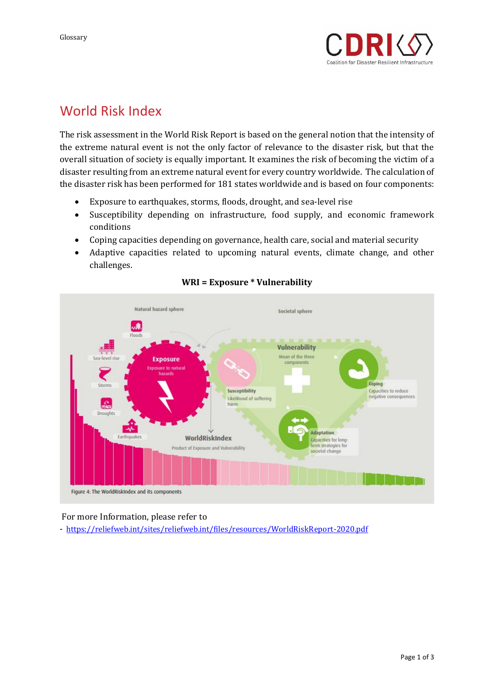

## World Risk Index

The risk assessment in the World Risk Report is based on the general notion that the intensity of the extreme natural event is not the only factor of relevance to the disaster risk, but that the overall situation of society is equally important. It examines the risk of becoming the victim of a disaster resulting from an extreme natural event for every country worldwide. The calculation of the disaster risk has been performed for 181 states worldwide and is based on four components:

- Exposure to earthquakes, storms, floods, drought, and sea-level rise
- Susceptibility depending on infrastructure, food supply, and economic framework conditions
- Coping capacities depending on governance, health care, social and material security
- Adaptive capacities related to upcoming natural events, climate change, and other challenges.



### **WRI = Exposure \* Vulnerability**

#### For more Information, please refer to

- <https://reliefweb.int/sites/reliefweb.int/files/resources/WorldRiskReport-2020.pdf>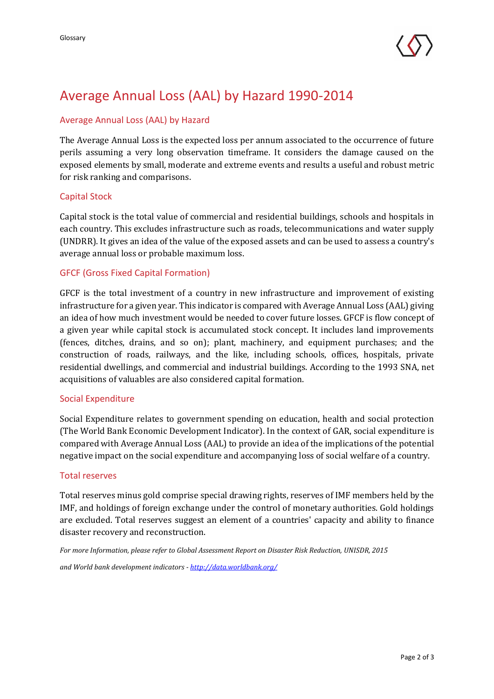

# Average Annual Loss (AAL) by Hazard 1990-2014

### Average Annual Loss (AAL) by Hazard

The Average Annual Loss is the expected loss per annum associated to the occurrence of future perils assuming a very long observation timeframe. It considers the damage caused on the exposed elements by small, moderate and extreme events and results a useful and robust metric for risk ranking and comparisons.

#### Capital Stock

Capital stock is the total value of commercial and residential buildings, schools and hospitals in each country. This excludes infrastructure such as roads, telecommunications and water supply (UNDRR). It gives an idea of the value of the exposed assets and can be used to assess a country's average annual loss or probable maximum loss.

#### GFCF (Gross Fixed Capital Formation)

GFCF is the total investment of a country in new infrastructure and improvement of existing infrastructure for a given year. This indicator is compared with Average Annual Loss (AAL) giving an idea of how much investment would be needed to cover future losses. GFCF is flow concept of a given year while capital stock is accumulated stock concept. It includes land improvements (fences, ditches, drains, and so on); plant, machinery, and equipment purchases; and the construction of roads, railways, and the like, including schools, offices, hospitals, private residential dwellings, and commercial and industrial buildings. According to the 1993 SNA, net acquisitions of valuables are also considered capital formation.

#### Social Expenditure

Social Expenditure relates to government spending on education, health and social protection (The World Bank Economic Development Indicator). In the context of GAR, social expenditure is compared with Average Annual Loss (AAL) to provide an idea of the implications of the potential negative impact on the social expenditure and accompanying loss of social welfare of a country.

#### Total reserves

Total reserves minus gold comprise special drawing rights, reserves of IMF members held by the IMF, and holdings of foreign exchange under the control of monetary authorities. Gold holdings are excluded. Total reserves suggest an element of a countries' capacity and ability to finance disaster recovery and reconstruction.

*For more Information, please refer to Global Assessment Report on Disaster Risk Reduction, UNISDR, 2015*

*and World bank development indicators - http://data.worldbank.org/*